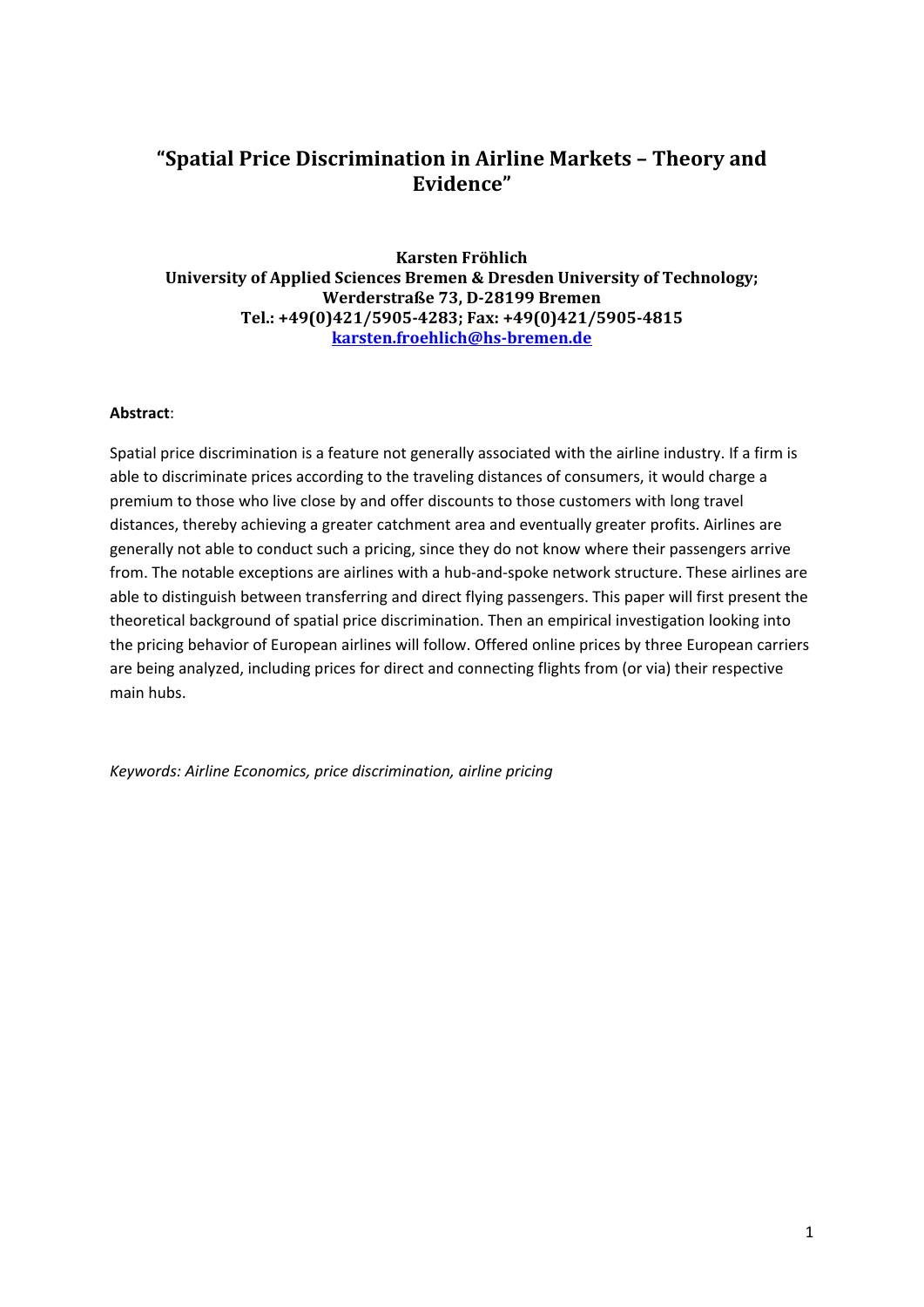## **"Spatial Price Discrimination in Airline Markets – Theory and Evidence"**

**Karsten Fröhlich University of Applied Sciences Bremen & Dresden University of Technology; Werderstraße 73, D-28199 Bremen Tel.: +49(0)421/5905-4283; Fax: +49(0)421/5905-4815 [karsten.froehlich@hs-bremen.de](mailto:karsten.froehlich@hs-bremen.de)**

#### **Abstract**:

Spatial price discrimination is a feature not generally associated with the airline industry. If a firm is able to discriminate prices according to the traveling distances of consumers, it would charge a premium to those who live close by and offer discounts to those customers with long travel distances, thereby achieving a greater catchment area and eventually greater profits. Airlines are generally not able to conduct such a pricing, since they do not know where their passengers arrive from. The notable exceptions are airlines with a hub-and-spoke network structure. These airlines are able to distinguish between transferring and direct flying passengers. This paper will first present the theoretical background of spatial price discrimination. Then an empirical investigation looking into the pricing behavior of European airlines will follow. Offered online prices by three European carriers are being analyzed, including prices for direct and connecting flights from (or via) their respective main hubs.

*Keywords: Airline Economics, price discrimination, airline pricing*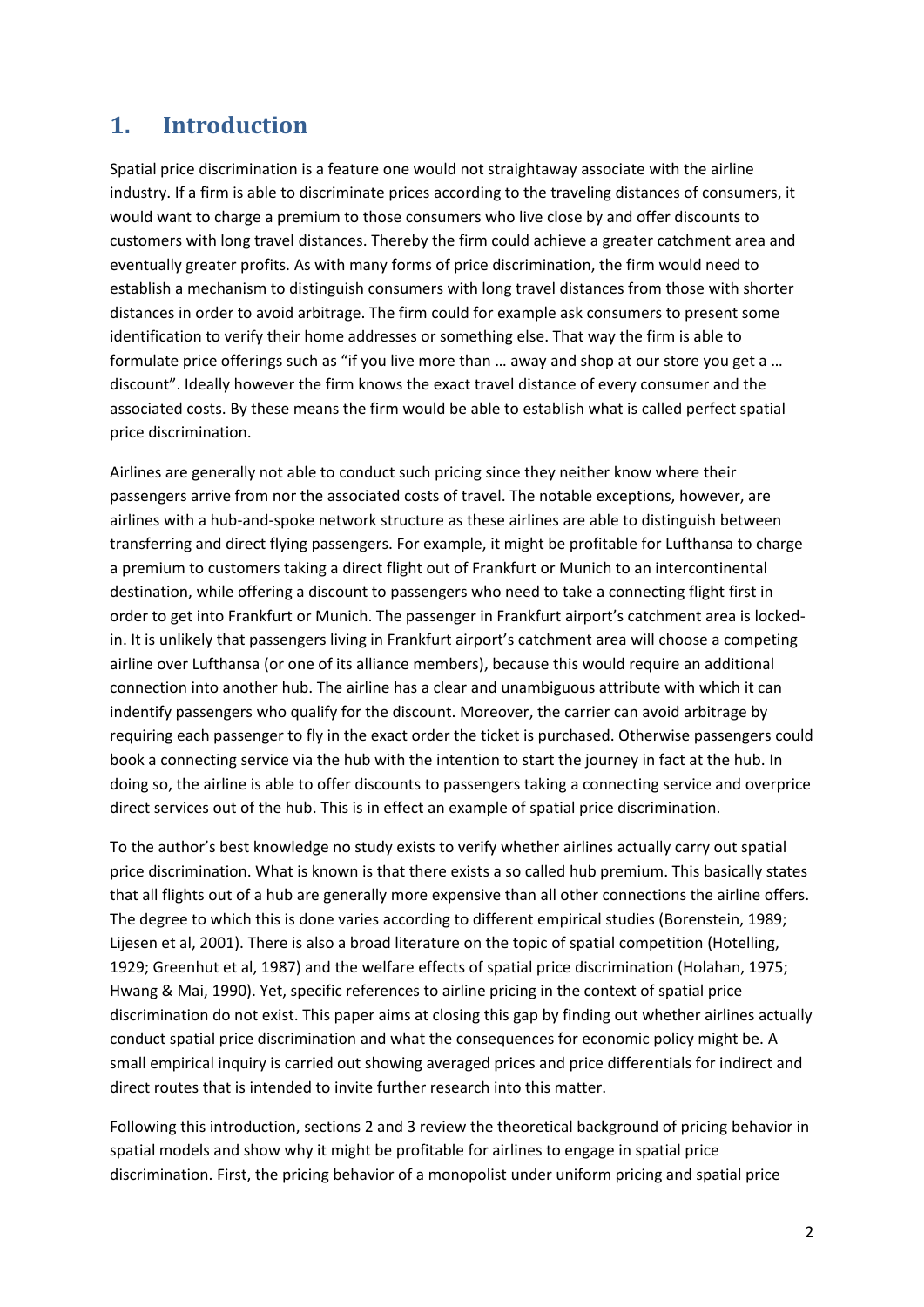# **1. Introduction**

Spatial price discrimination is a feature one would not straightaway associate with the airline industry. If a firm is able to discriminate prices according to the traveling distances of consumers, it would want to charge a premium to those consumers who live close by and offer discounts to customers with long travel distances. Thereby the firm could achieve a greater catchment area and eventually greater profits. As with many forms of price discrimination, the firm would need to establish a mechanism to distinguish consumers with long travel distances from those with shorter distances in order to avoid arbitrage. The firm could for example ask consumers to present some identification to verify their home addresses or something else. That way the firm is able to formulate price offerings such as "if you live more than … away and shop at our store you get a … discount". Ideally however the firm knows the exact travel distance of every consumer and the associated costs. By these means the firm would be able to establish what is called perfect spatial price discrimination.

Airlines are generally not able to conduct such pricing since they neither know where their passengers arrive from nor the associated costs of travel. The notable exceptions, however, are airlines with a hub-and-spoke network structure as these airlines are able to distinguish between transferring and direct flying passengers. For example, it might be profitable for Lufthansa to charge a premium to customers taking a direct flight out of Frankfurt or Munich to an intercontinental destination, while offering a discount to passengers who need to take a connecting flight first in order to get into Frankfurt or Munich. The passenger in Frankfurt airport's catchment area is lockedin. It is unlikely that passengers living in Frankfurt airport's catchment area will choose a competing airline over Lufthansa (or one of its alliance members), because this would require an additional connection into another hub. The airline has a clear and unambiguous attribute with which it can indentify passengers who qualify for the discount. Moreover, the carrier can avoid arbitrage by requiring each passenger to fly in the exact order the ticket is purchased. Otherwise passengers could book a connecting service via the hub with the intention to start the journey in fact at the hub. In doing so, the airline is able to offer discounts to passengers taking a connecting service and overprice direct services out of the hub. This is in effect an example of spatial price discrimination.

To the author's best knowledge no study exists to verify whether airlines actually carry out spatial price discrimination. What is known is that there exists a so called hub premium. This basically states that all flights out of a hub are generally more expensive than all other connections the airline offers. The degree to which this is done varies according to different empirical studies (Borenstein, 1989; Lijesen et al, 2001). There is also a broad literature on the topic of spatial competition (Hotelling, 1929; Greenhut et al, 1987) and the welfare effects of spatial price discrimination (Holahan, 1975; Hwang & Mai, 1990). Yet, specific references to airline pricing in the context of spatial price discrimination do not exist. This paper aims at closing this gap by finding out whether airlines actually conduct spatial price discrimination and what the consequences for economic policy might be. A small empirical inquiry is carried out showing averaged prices and price differentials for indirect and direct routes that is intended to invite further research into this matter.

Following this introduction, sections [2](#page-2-0) and [3](#page-4-0) review the theoretical background of pricing behavior in spatial models and show why it might be profitable for airlines to engage in spatial price discrimination. First, the pricing behavior of a monopolist under uniform pricing and spatial price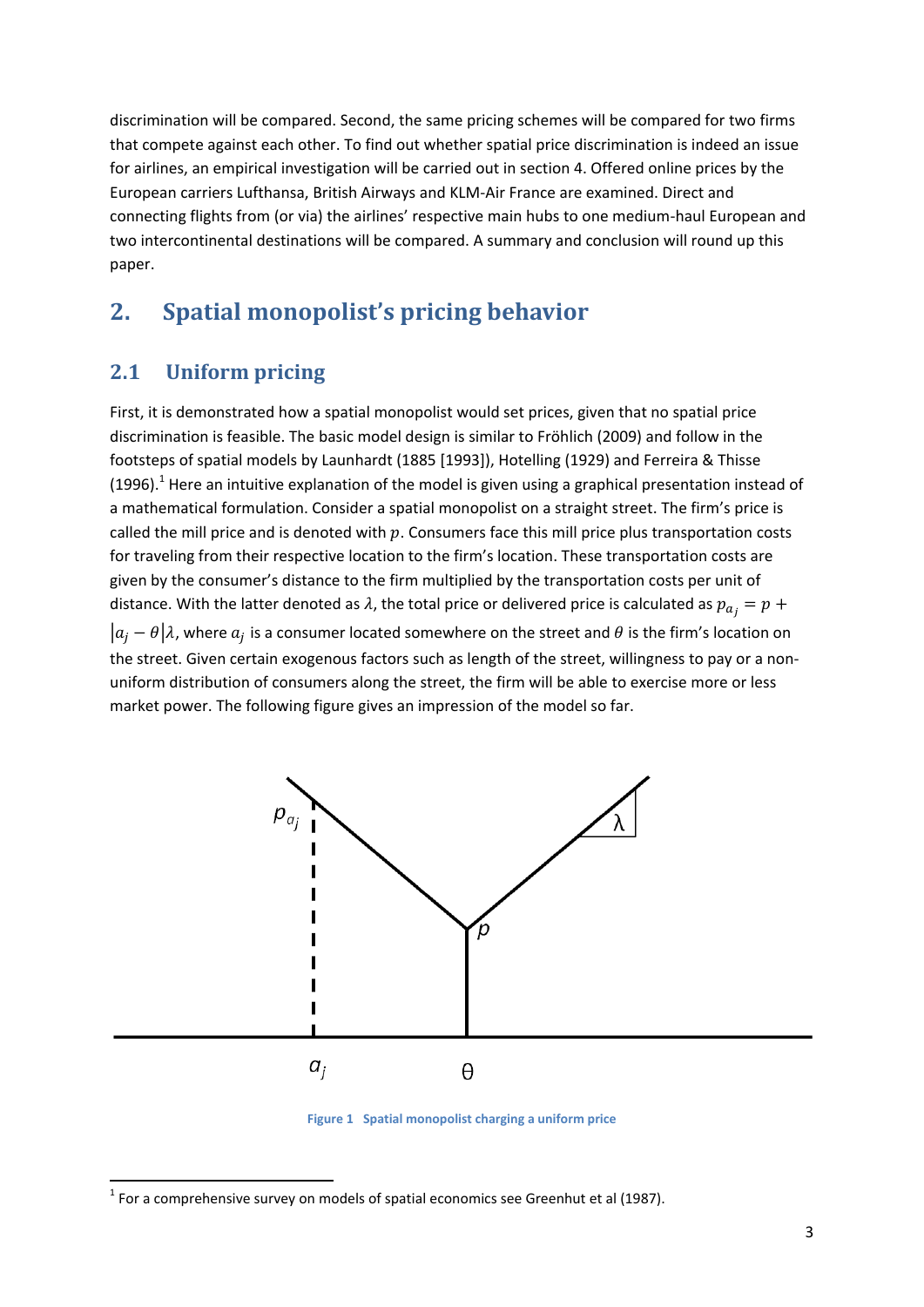discrimination will be compared. Second, the same pricing schemes will be compared for two firms that compete against each other. To find out whether spatial price discrimination is indeed an issue for airlines, an empirical investigation will be carried out in section [4.](#page-6-0) Offered online prices by the European carriers Lufthansa, British Airways and KLM-Air France are examined. Direct and connecting flights from (or via) the airlines' respective main hubs to one medium-haul European and two intercontinental destinations will be compared. A summary and conclusion will round up this paper.

# <span id="page-2-0"></span>**2. Spatial monopolist's pricing behavior**

## **2.1 Uniform pricing**

**.** 

First, it is demonstrated how a spatial monopolist would set prices, given that no spatial price discrimination is feasible. The basic model design is similar to Fröhlich (2009) and follow in the footsteps of spatial models by Launhardt (1885 [1993]), Hotelling (1929) and Ferreira & Thisse (1996).<sup>1</sup> Here an intuitive explanation of the model is given using a graphical presentation instead of a mathematical formulation. Consider a spatial monopolist on a straight street. The firm's price is called the mill price and is denoted with  $p$ . Consumers face this mill price plus transportation costs for traveling from their respective location to the firm's location. These transportation costs are given by the consumer's distance to the firm multiplied by the transportation costs per unit of distance. With the latter denoted as  $\lambda$ , the total price or delivered price is calculated as  $p_{a_i} = p +$  $|a_i - \theta|\lambda$ , where  $a_i$  is a consumer located somewhere on the street and  $\theta$  is the firm's location on the street. Given certain exogenous factors such as length of the street, willingness to pay or a nonuniform distribution of consumers along the street, the firm will be able to exercise more or less market power. The following figure gives an impression of the model so far.



**Figure 1 Spatial monopolist charging a uniform price**

 $<sup>1</sup>$  For a comprehensive survey on models of spatial economics see Greenhut et al (1987).</sup>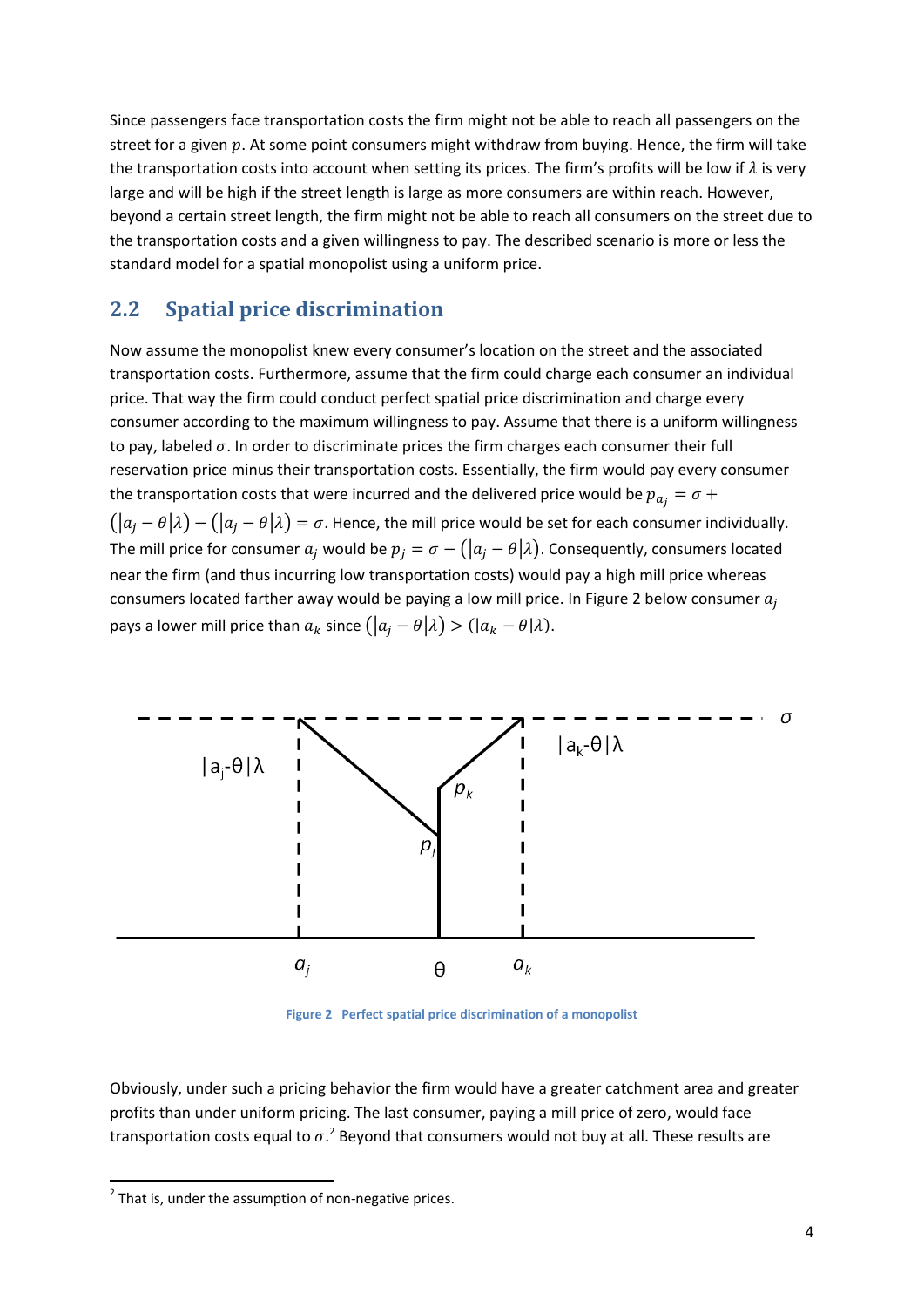Since passengers face transportation costs the firm might not be able to reach all passengers on the street for a given  $p$ . At some point consumers might withdraw from buying. Hence, the firm will take the transportation costs into account when setting its prices. The firm's profits will be low if  $\lambda$  is very large and will be high if the street length is large as more consumers are within reach. However, beyond a certain street length, the firm might not be able to reach all consumers on the street due to the transportation costs and a given willingness to pay. The described scenario is more or less the standard model for a spatial monopolist using a uniform price.

## <span id="page-3-1"></span>**2.2 Spatial price discrimination**

Now assume the monopolist knew every consumer's location on the street and the associated transportation costs. Furthermore, assume that the firm could charge each consumer an individual price. That way the firm could conduct perfect spatial price discrimination and charge every consumer according to the maximum willingness to pay. Assume that there is a uniform willingness to pay, labeled  $\sigma$ . In order to discriminate prices the firm charges each consumer their full reservation price minus their transportation costs. Essentially, the firm would pay every consumer the transportation costs that were incurred and the delivered price would be  $p_{a_i} = \sigma +$  $(|a_i - \theta|\lambda) - (|a_i - \theta|\lambda) = \sigma$ . Hence, the mill price would be set for each consumer individually. The mill price for consumer  $a_j$  would be  $p_j = \sigma - (|a_j - \theta|\lambda)$ . Consequently, consumers located near the firm (and thus incurring low transportation costs) would pay a high mill price whereas consumers located farther away would be paying a low mill price. In [Figure 2](#page-3-0) below consumer  $a_i$ pays a lower mill price than  $a_k$  since  $(|a_i - \theta | \lambda) > (|a_k - \theta | \lambda)$ .



**Figure 2 Perfect spatial price discrimination of a monopolist**

<span id="page-3-0"></span>Obviously, under such a pricing behavior the firm would have a greater catchment area and greater profits than under uniform pricing. The last consumer, paying a mill price of zero, would face transportation costs equal to  $\sigma$ .<sup>2</sup> Beyond that consumers would not buy at all. These results are

**.** 

 $2$  That is, under the assumption of non-negative prices.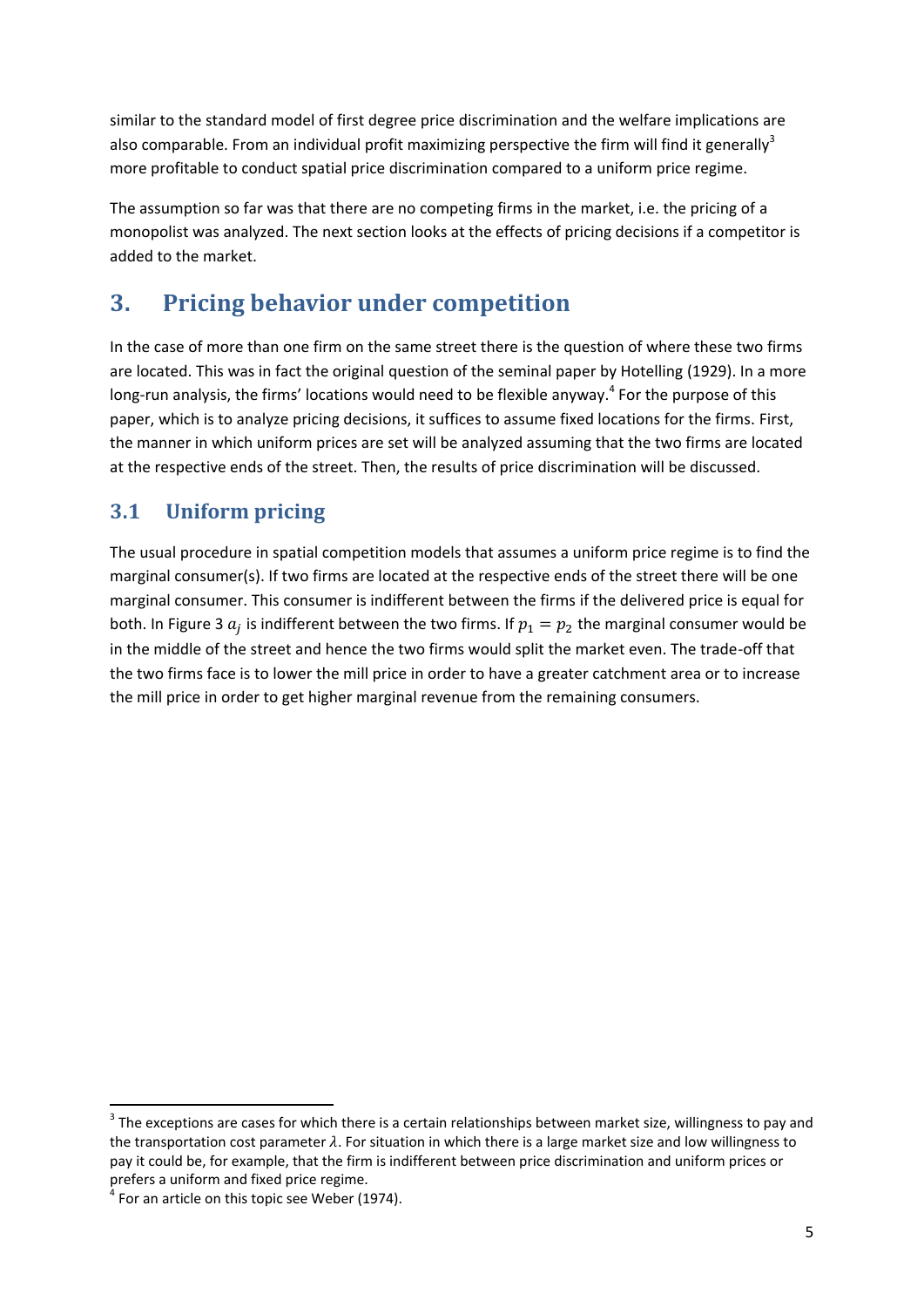similar to the standard model of first degree price discrimination and the welfare implications are also comparable. From an individual profit maximizing perspective the firm will find it generally<sup>3</sup> more profitable to conduct spatial price discrimination compared to a uniform price regime.

The assumption so far was that there are no competing firms in the market, i.e. the pricing of a monopolist was analyzed. The next section looks at the effects of pricing decisions if a competitor is added to the market.

# <span id="page-4-0"></span>**3. Pricing behavior under competition**

In the case of more than one firm on the same street there is the question of where these two firms are located. This was in fact the original question of the seminal paper by Hotelling (1929). In a more long-run analysis, the firms' locations would need to be flexible anyway.<sup>4</sup> For the purpose of this paper, which is to analyze pricing decisions, it suffices to assume fixed locations for the firms. First, the manner in which uniform prices are set will be analyzed assuming that the two firms are located at the respective ends of the street. Then, the results of price discrimination will be discussed.

# **3.1 Uniform pricing**

The usual procedure in spatial competition models that assumes a uniform price regime is to find the marginal consumer(s). If two firms are located at the respective ends of the street there will be one marginal consumer. This consumer is indifferent between the firms if the delivered price is equal for both. In [Figure 3](#page-5-0)  $a_j$  is indifferent between the two firms. If  $p_1 = p_2$  the marginal consumer would be in the middle of the street and hence the two firms would split the market even. The trade-off that the two firms face is to lower the mill price in order to have a greater catchment area or to increase the mill price in order to get higher marginal revenue from the remaining consumers.

**.** 

 $3$  The exceptions are cases for which there is a certain relationships between market size, willingness to pay and the transportation cost parameter  $\lambda$ . For situation in which there is a large market size and low willingness to pay it could be, for example, that the firm is indifferent between price discrimination and uniform prices or prefers a uniform and fixed price regime.

 $4$  For an article on this topic see Weber (1974).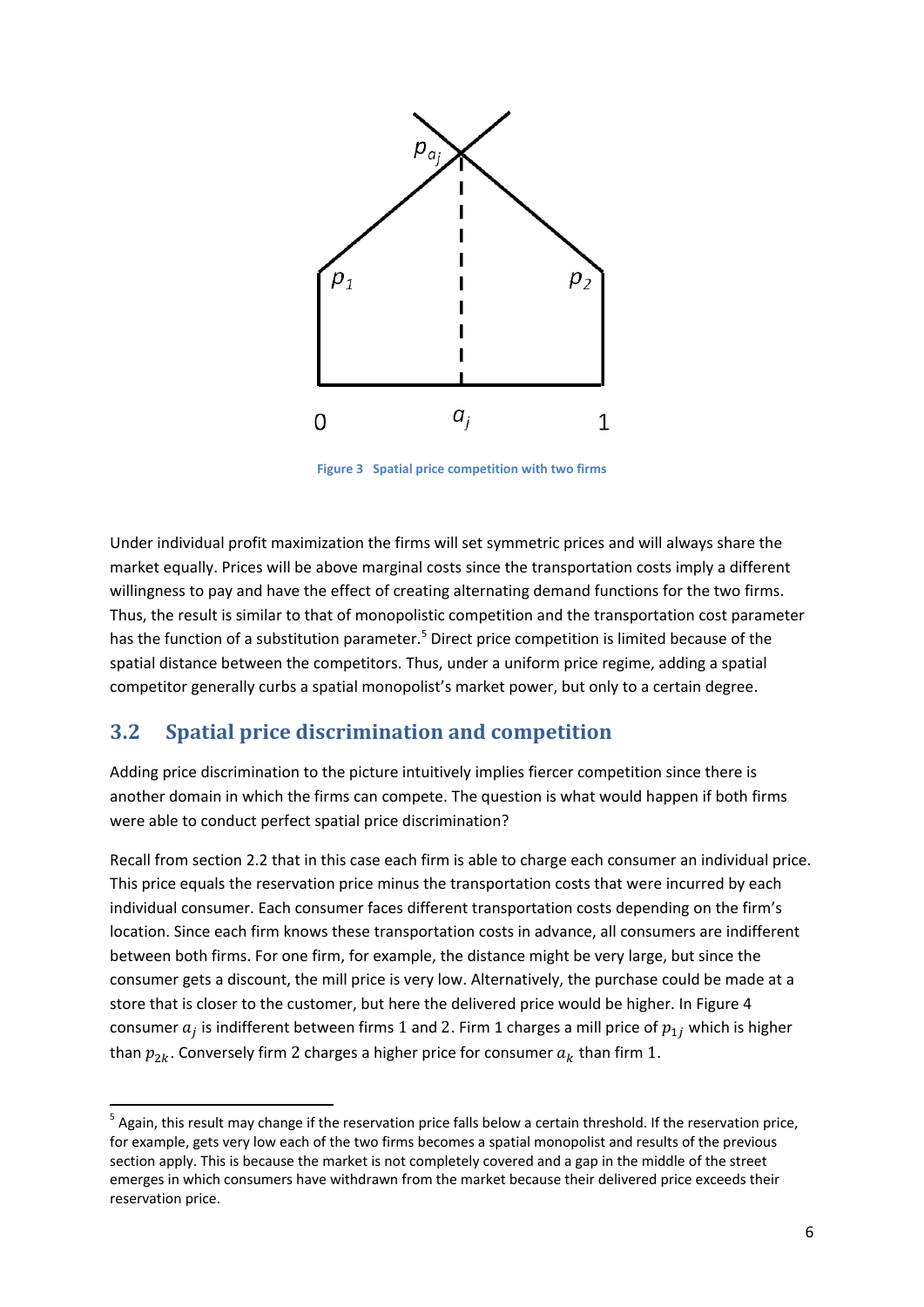

**Figure 3 Spatial price competition with two firms**

<span id="page-5-0"></span>Under individual profit maximization the firms will set symmetric prices and will always share the market equally. Prices will be above marginal costs since the transportation costs imply a different willingness to pay and have the effect of creating alternating demand functions for the two firms. Thus, the result is similar to that of monopolistic competition and the transportation cost parameter has the function of a substitution parameter.<sup>5</sup> Direct price competition is limited because of the spatial distance between the competitors. Thus, under a uniform price regime, adding a spatial competitor generally curbs a spatial monopolist's market power, but only to a certain degree.

## <span id="page-5-1"></span>**3.2 Spatial price discrimination and competition**

**.** 

Adding price discrimination to the picture intuitively implies fiercer competition since there is another domain in which the firms can compete. The question is what would happen if both firms were able to conduct perfect spatial price discrimination?

Recall from sectio[n 2.2](#page-3-1) that in this case each firm is able to charge each consumer an individual price. This price equals the reservation price minus the transportation costs that were incurred by each individual consumer. Each consumer faces different transportation costs depending on the firm's location. Since each firm knows these transportation costs in advance, all consumers are indifferent between both firms. For one firm, for example, the distance might be very large, but since the consumer gets a discount, the mill price is very low. Alternatively, the purchase could be made at a store that is closer to the customer, but here the delivered price would be higher. In [Figure 4](#page-6-1) consumer  $a_j$  is indifferent between firms 1 and 2. Firm 1 charges a mill price of  $p_{1j}$  which is higher than  $p_{2k}$ . Conversely firm 2 charges a higher price for consumer  $a_k$  than firm 1.

<sup>&</sup>lt;sup>5</sup> Again, this result may change if the reservation price falls below a certain threshold. If the reservation price, for example, gets very low each of the two firms becomes a spatial monopolist and results of the previous section apply. This is because the market is not completely covered and a gap in the middle of the street emerges in which consumers have withdrawn from the market because their delivered price exceeds their reservation price.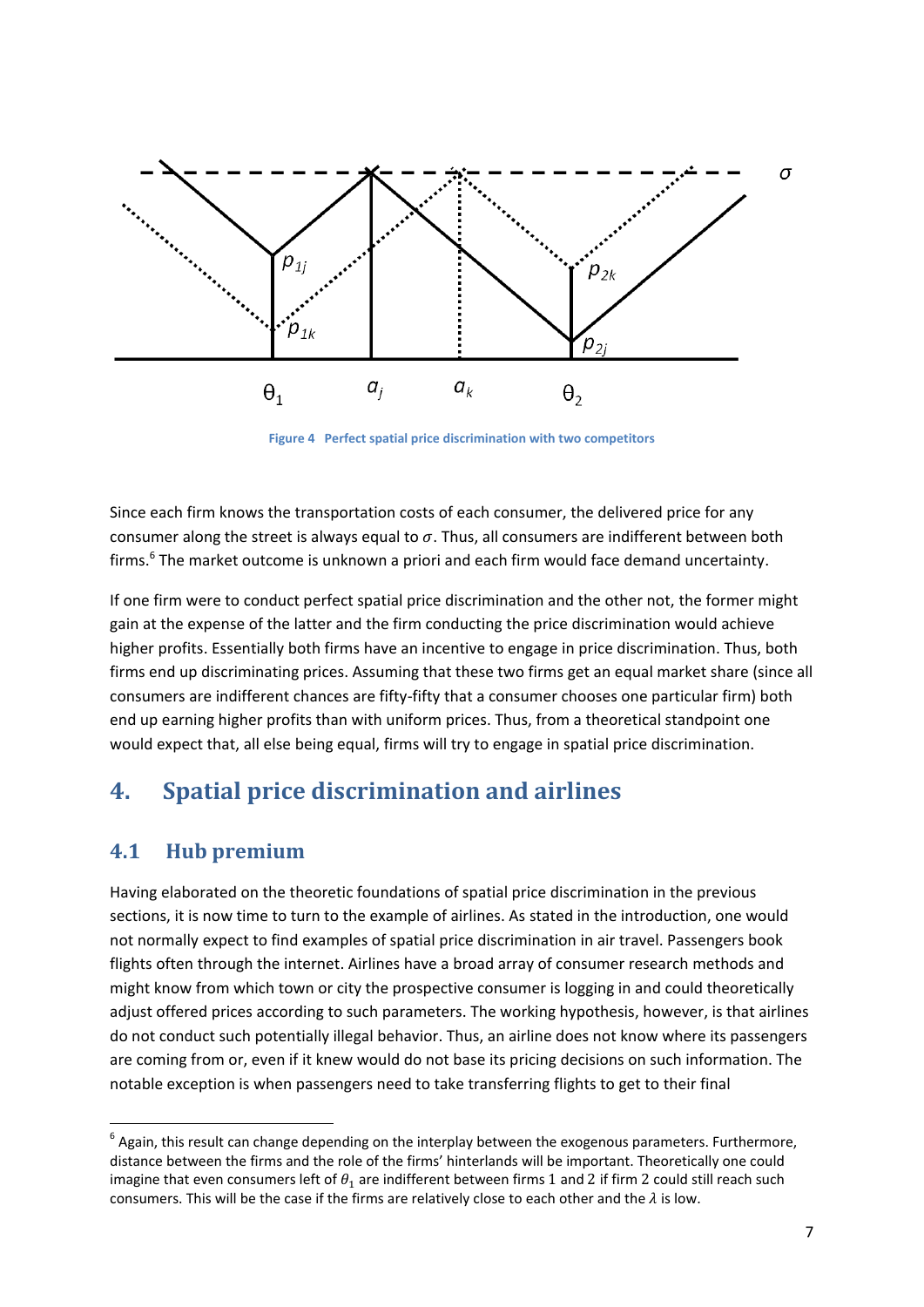

**Figure 4 Perfect spatial price discrimination with two competitors**

<span id="page-6-1"></span>Since each firm knows the transportation costs of each consumer, the delivered price for any consumer along the street is always equal to  $\sigma$ . Thus, all consumers are indifferent between both firms.<sup>6</sup> The market outcome is unknown a priori and each firm would face demand uncertainty.

If one firm were to conduct perfect spatial price discrimination and the other not, the former might gain at the expense of the latter and the firm conducting the price discrimination would achieve higher profits. Essentially both firms have an incentive to engage in price discrimination. Thus, both firms end up discriminating prices. Assuming that these two firms get an equal market share (since all consumers are indifferent chances are fifty-fifty that a consumer chooses one particular firm) both end up earning higher profits than with uniform prices. Thus, from a theoretical standpoint one would expect that, all else being equal, firms will try to engage in spatial price discrimination.

# <span id="page-6-0"></span>**4. Spatial price discrimination and airlines**

## **4.1 Hub premium**

1

Having elaborated on the theoretic foundations of spatial price discrimination in the previous sections, it is now time to turn to the example of airlines. As stated in the introduction, one would not normally expect to find examples of spatial price discrimination in air travel. Passengers book flights often through the internet. Airlines have a broad array of consumer research methods and might know from which town or city the prospective consumer is logging in and could theoretically adjust offered prices according to such parameters. The working hypothesis, however, is that airlines do not conduct such potentially illegal behavior. Thus, an airline does not know where its passengers are coming from or, even if it knew would do not base its pricing decisions on such information. The notable exception is when passengers need to take transferring flights to get to their final

 $<sup>6</sup>$  Again, this result can change depending on the interplay between the exogenous parameters. Furthermore,</sup> distance between the firms and the role of the firms' hinterlands will be important. Theoretically one could imagine that even consumers left of  $\theta_1$  are indifferent between firms 1 and 2 if firm 2 could still reach such consumers. This will be the case if the firms are relatively close to each other and the  $\lambda$  is low.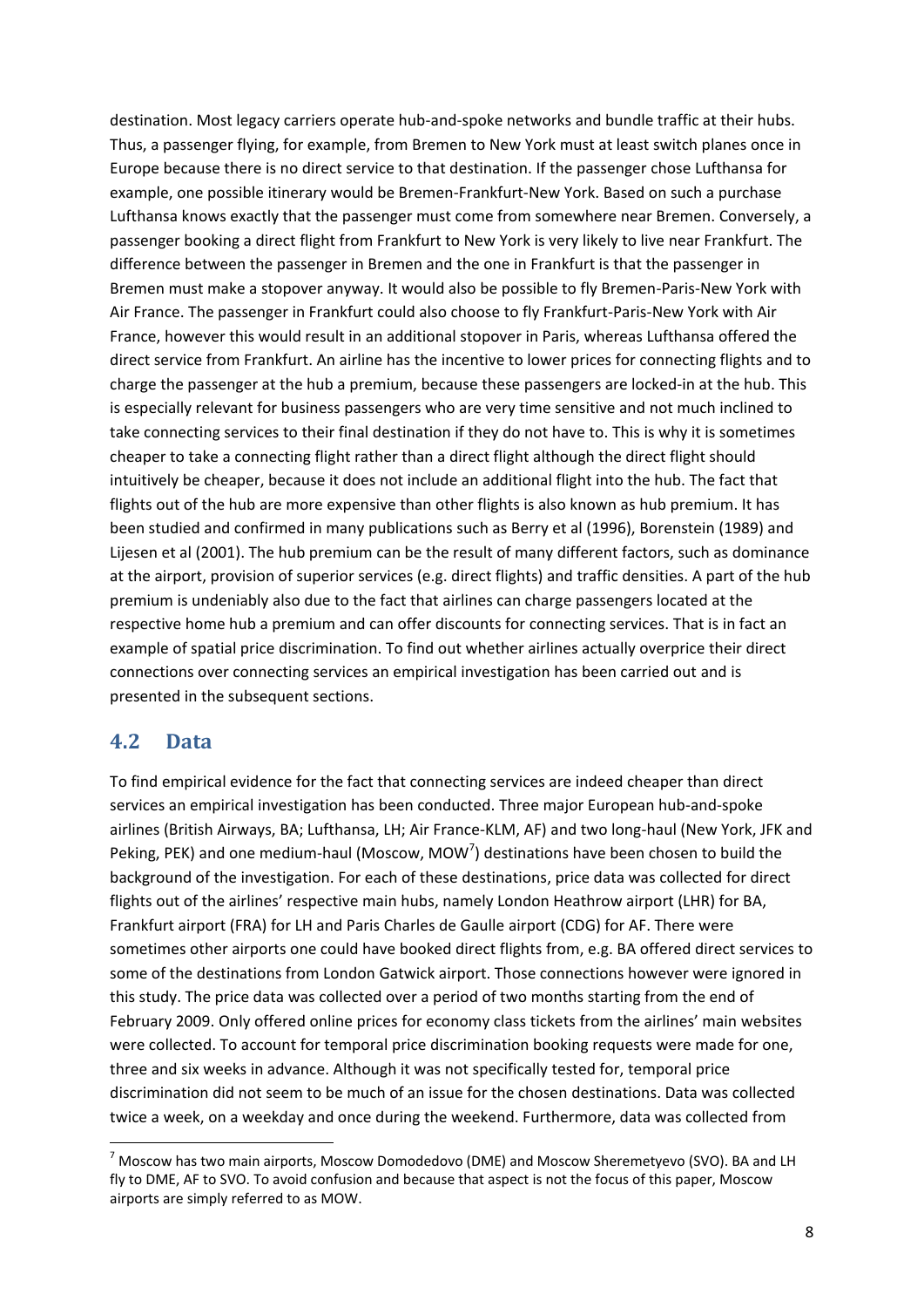destination. Most legacy carriers operate hub-and-spoke networks and bundle traffic at their hubs. Thus, a passenger flying, for example, from Bremen to New York must at least switch planes once in Europe because there is no direct service to that destination. If the passenger chose Lufthansa for example, one possible itinerary would be Bremen-Frankfurt-New York. Based on such a purchase Lufthansa knows exactly that the passenger must come from somewhere near Bremen. Conversely, a passenger booking a direct flight from Frankfurt to New York is very likely to live near Frankfurt. The difference between the passenger in Bremen and the one in Frankfurt is that the passenger in Bremen must make a stopover anyway. It would also be possible to fly Bremen-Paris-New York with Air France. The passenger in Frankfurt could also choose to fly Frankfurt-Paris-New York with Air France, however this would result in an additional stopover in Paris, whereas Lufthansa offered the direct service from Frankfurt. An airline has the incentive to lower prices for connecting flights and to charge the passenger at the hub a premium, because these passengers are locked-in at the hub. This is especially relevant for business passengers who are very time sensitive and not much inclined to take connecting services to their final destination if they do not have to. This is why it is sometimes cheaper to take a connecting flight rather than a direct flight although the direct flight should intuitively be cheaper, because it does not include an additional flight into the hub. The fact that flights out of the hub are more expensive than other flights is also known as hub premium. It has been studied and confirmed in many publications such as Berry et al (1996), Borenstein (1989) and Lijesen et al (2001). The hub premium can be the result of many different factors, such as dominance at the airport, provision of superior services (e.g. direct flights) and traffic densities. A part of the hub premium is undeniably also due to the fact that airlines can charge passengers located at the respective home hub a premium and can offer discounts for connecting services. That is in fact an example of spatial price discrimination. To find out whether airlines actually overprice their direct connections over connecting services an empirical investigation has been carried out and is presented in the subsequent sections.

#### **4.2 Data**

**.** 

To find empirical evidence for the fact that connecting services are indeed cheaper than direct services an empirical investigation has been conducted. Three major European hub-and-spoke airlines (British Airways, BA; Lufthansa, LH; Air France-KLM, AF) and two long-haul (New York, JFK and Peking, PEK) and one medium-haul (Moscow, MOW<sup>7</sup>) destinations have been chosen to build the background of the investigation. For each of these destinations, price data was collected for direct flights out of the airlines' respective main hubs, namely London Heathrow airport (LHR) for BA, Frankfurt airport (FRA) for LH and Paris Charles de Gaulle airport (CDG) for AF. There were sometimes other airports one could have booked direct flights from, e.g. BA offered direct services to some of the destinations from London Gatwick airport. Those connections however were ignored in this study. The price data was collected over a period of two months starting from the end of February 2009. Only offered online prices for economy class tickets from the airlines' main websites were collected. To account for temporal price discrimination booking requests were made for one, three and six weeks in advance. Although it was not specifically tested for, temporal price discrimination did not seem to be much of an issue for the chosen destinations. Data was collected twice a week, on a weekday and once during the weekend. Furthermore, data was collected from

<sup>7</sup> Moscow has two main airports, Moscow Domodedovo (DME) and Moscow Sheremetyevo (SVO). BA and LH fly to DME, AF to SVO. To avoid confusion and because that aspect is not the focus of this paper, Moscow airports are simply referred to as MOW.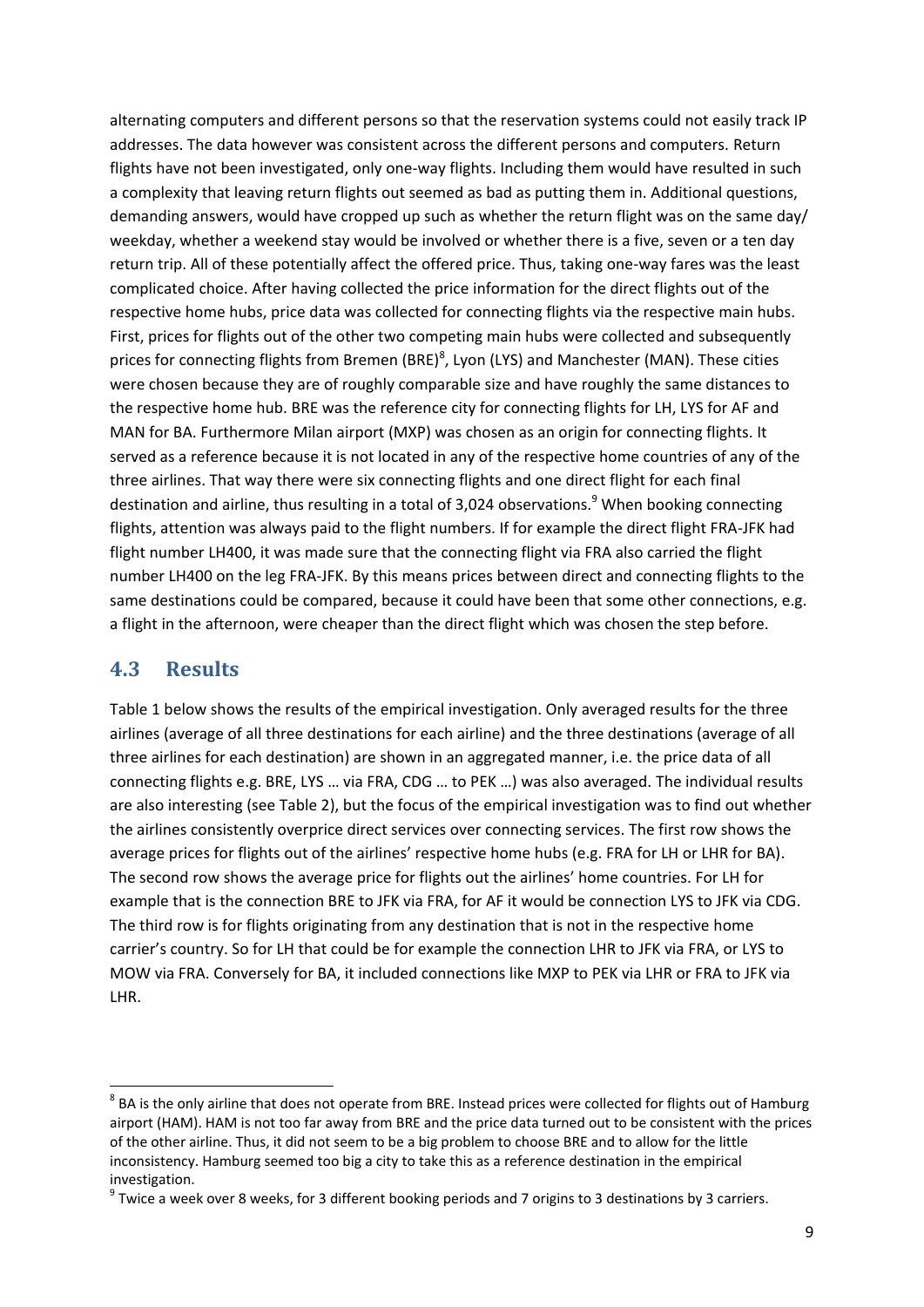alternating computers and different persons so that the reservation systems could not easily track IP addresses. The data however was consistent across the different persons and computers. Return flights have not been investigated, only one-way flights. Including them would have resulted in such a complexity that leaving return flights out seemed as bad as putting them in. Additional questions, demanding answers, would have cropped up such as whether the return flight was on the same day/ weekday, whether a weekend stay would be involved or whether there is a five, seven or a ten day return trip. All of these potentially affect the offered price. Thus, taking one-way fares was the least complicated choice. After having collected the price information for the direct flights out of the respective home hubs, price data was collected for connecting flights via the respective main hubs. First, prices for flights out of the other two competing main hubs were collected and subsequently prices for connecting flights from Bremen (BRE)<sup>8</sup>, Lyon (LYS) and Manchester (MAN). These cities were chosen because they are of roughly comparable size and have roughly the same distances to the respective home hub. BRE was the reference city for connecting flights for LH, LYS for AF and MAN for BA. Furthermore Milan airport (MXP) was chosen as an origin for connecting flights. It served as a reference because it is not located in any of the respective home countries of any of the three airlines. That way there were six connecting flights and one direct flight for each final destination and airline, thus resulting in a total of 3,024 observations.<sup>9</sup> When booking connecting flights, attention was always paid to the flight numbers. If for example the direct flight FRA-JFK had flight number LH400, it was made sure that the connecting flight via FRA also carried the flight number LH400 on the leg FRA-JFK. By this means prices between direct and connecting flights to the same destinations could be compared, because it could have been that some other connections, e.g. a flight in the afternoon, were cheaper than the direct flight which was chosen the step before.

## **4.3 Results**

**.** 

[Table 1](#page-9-0) below shows the results of the empirical investigation. Only averaged results for the three airlines (average of all three destinations for each airline) and the three destinations (average of all three airlines for each destination) are shown in an aggregated manner, i.e. the price data of all connecting flights e.g. BRE, LYS … via FRA, CDG … to PEK …) was also averaged. The individual results are also interesting (see [Table 2\)](#page-10-0), but the focus of the empirical investigation was to find out whether the airlines consistently overprice direct services over connecting services. The first row shows the average prices for flights out of the airlines' respective home hubs (e.g. FRA for LH or LHR for BA). The second row shows the average price for flights out the airlines' home countries. For LH for example that is the connection BRE to JFK via FRA, for AF it would be connection LYS to JFK via CDG. The third row is for flights originating from any destination that is not in the respective home carrier's country. So for LH that could be for example the connection LHR to JFK via FRA, or LYS to MOW via FRA. Conversely for BA, it included connections like MXP to PEK via LHR or FRA to JFK via LHR.

 $^8$  BA is the only airline that does not operate from BRE. Instead prices were collected for flights out of Hamburg airport (HAM). HAM is not too far away from BRE and the price data turned out to be consistent with the prices of the other airline. Thus, it did not seem to be a big problem to choose BRE and to allow for the little inconsistency. Hamburg seemed too big a city to take this as a reference destination in the empirical investigation.

 $^9$  Twice a week over 8 weeks, for 3 different booking periods and 7 origins to 3 destinations by 3 carriers.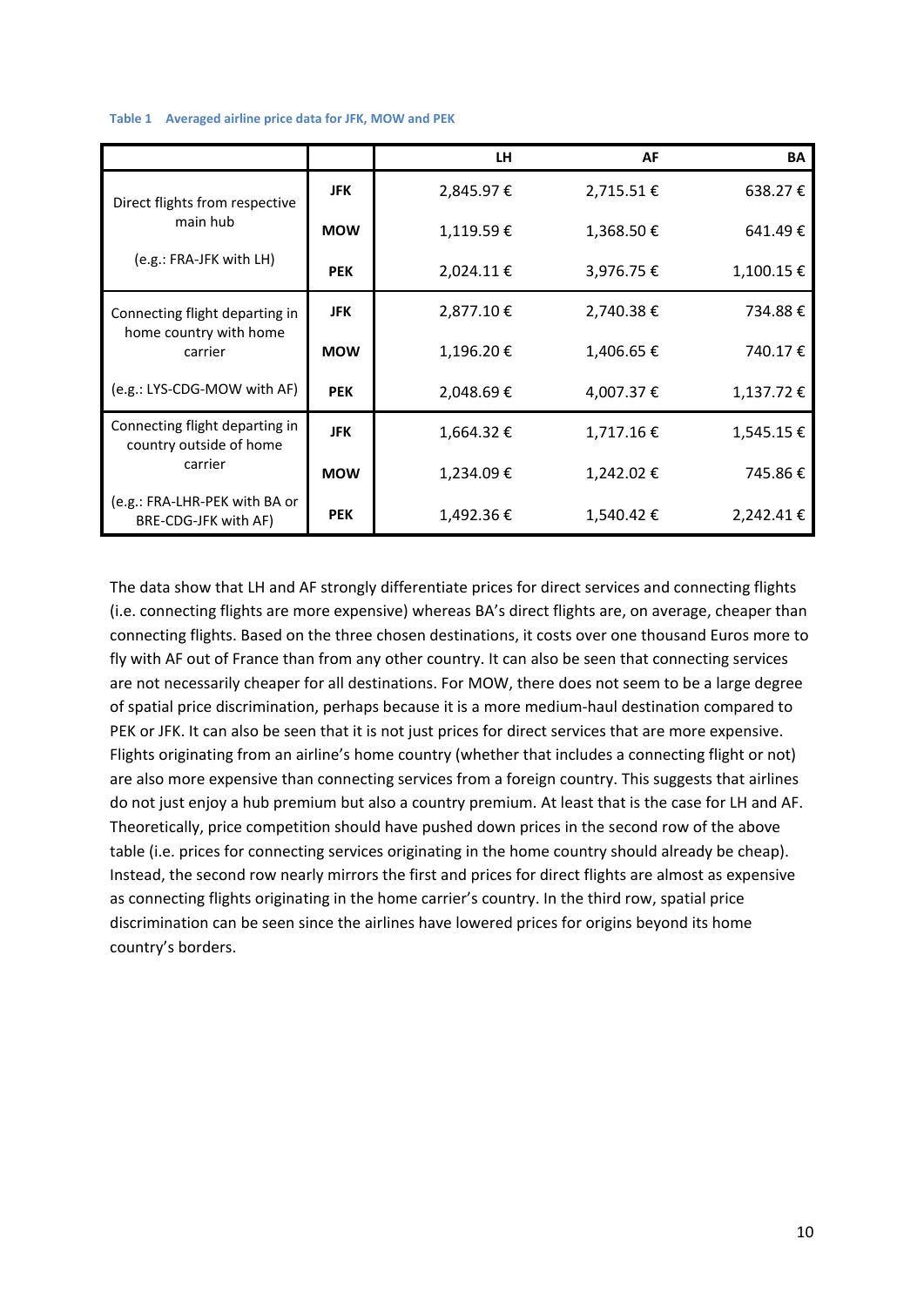#### <span id="page-9-0"></span>**Table 1 Averaged airline price data for JFK, MOW and PEK**

|                                                           |            | LH.            | AF         | BA        |
|-----------------------------------------------------------|------------|----------------|------------|-----------|
| Direct flights from respective                            | <b>JFK</b> | 2,845.97€      | 2,715.51€  | 638.27€   |
| main hub                                                  | <b>MOW</b> | 1,119.59€      | 1,368.50€  | 641.49€   |
| (e.g.: FRA-JFK with LH)                                   | <b>PEK</b> | $2,024.11 \in$ | 3,976.75 € | 1,100.15€ |
| Connecting flight departing in                            | <b>JFK</b> | 2,877.10€      | 2,740.38€  | 734.88€   |
| home country with home<br>carrier                         | <b>MOW</b> | 1,196.20€      | 1,406.65 € | 740.17€   |
| (e.g.: LYS-CDG-MOW with AF)                               | <b>PEK</b> |                | 4,007.37 € | 1,137.72€ |
| Connecting flight departing in<br>country outside of home | <b>JFK</b> | 1,664.32€      | 1,717.16€  | 1,545.15€ |
| carrier                                                   | <b>MOW</b> | 1,234.09€      | 1,242.02 € | 745.86€   |
| (e.g.: FRA-LHR-PEK with BA or<br>BRE-CDG-JFK with AF)     | <b>PEK</b> | 1,492.36€      | 1,540.42€  | 2,242.41€ |

The data show that LH and AF strongly differentiate prices for direct services and connecting flights (i.e. connecting flights are more expensive) whereas BA's direct flights are, on average, cheaper than connecting flights. Based on the three chosen destinations, it costs over one thousand Euros more to fly with AF out of France than from any other country. It can also be seen that connecting services are not necessarily cheaper for all destinations. For MOW, there does not seem to be a large degree of spatial price discrimination, perhaps because it is a more medium-haul destination compared to PEK or JFK. It can also be seen that it is not just prices for direct services that are more expensive. Flights originating from an airline's home country (whether that includes a connecting flight or not) are also more expensive than connecting services from a foreign country. This suggests that airlines do not just enjoy a hub premium but also a country premium. At least that is the case for LH and AF. Theoretically, price competition should have pushed down prices in the second row of the above table (i.e. prices for connecting services originating in the home country should already be cheap). Instead, the second row nearly mirrors the first and prices for direct flights are almost as expensive as connecting flights originating in the home carrier's country. In the third row, spatial price discrimination can be seen since the airlines have lowered prices for origins beyond its home country's borders.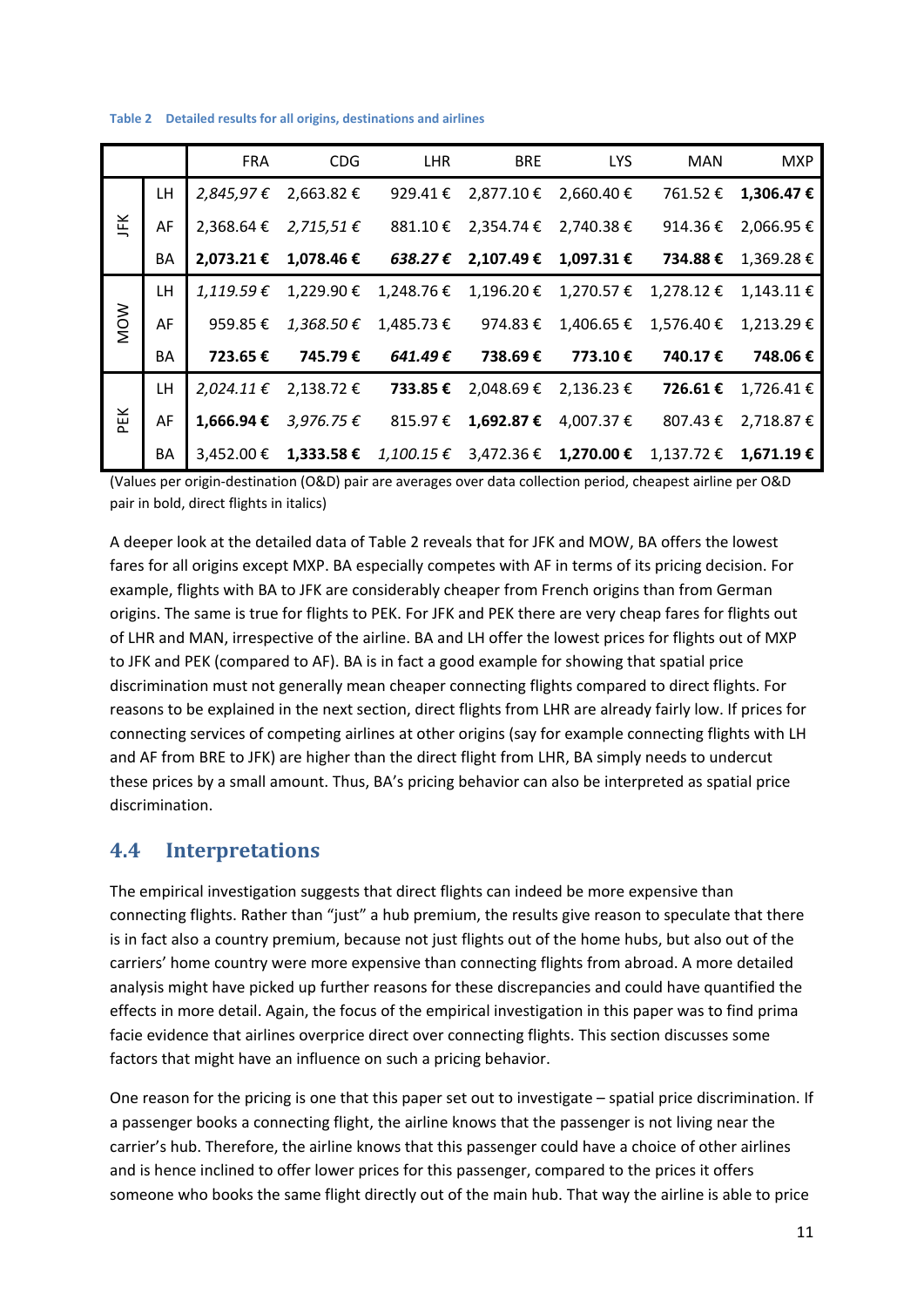|            |     | FRA            | <b>CDG</b>              | LHR      | BRE                                 | <b>LYS</b>                                           | MAN                                                                            | <b>MXP</b>     |
|------------|-----|----------------|-------------------------|----------|-------------------------------------|------------------------------------------------------|--------------------------------------------------------------------------------|----------------|
| JFK        | LH. | 2,845,97€      | 2,663.82 €              | 929.41 € | 2,877.10 €                          | 2.660.40 €                                           | 761.52€                                                                        | 1,306.47€      |
|            | AF  |                | 2,368.64 € 2,715,51 €   |          |                                     | $881.10 \in 2,354.74 \in 2,740.38 \in$               | 914.36€                                                                        | 2,066.95 €     |
|            | BA  |                |                         |          |                                     | 2,073.21 € 1,078.46 € 638.27 € 2,107.49 € 1,097.31 € | 734.88 €                                                                       | 1,369.28€      |
|            | LH. | 1,119.59€      | 1,229.90 € 1,248.76 €   |          |                                     | $1,196.20 \in 1,270.57 \in 1,278.12 \in$             |                                                                                | $1.143.11 \in$ |
| <b>MOW</b> | AF  | 959.85 €       | 1,368.50 €              |          | $1,485.73 \in$ 974.83 €             |                                                      | $1,406.65 \in 1,576.40 \in$                                                    | 1,213.29€      |
|            | BA  |                |                         |          | 723.65 € 745.79 € 641.49 € 738.69 € | 773.10 €                                             | 740.17 €                                                                       | 748.06€        |
| DΕK        | LH. | $2,024.11 \t∈$ | 2,138.72 €              | 733.85 € | 2,048.69€                           | 2,136.23 €                                           | 726.61€                                                                        | 1,726.41€      |
|            | AF  | 1,666.94 €     | $3,976.75 \in$ 815.97 € |          |                                     | 1,692.87 € 4,007.37 €                                | 807.43 €                                                                       | 2,718.87€      |
|            | BA  |                |                         |          |                                     |                                                      | 3,452.00 € 1,333.58 € $1,100.15$ € 3,472.36 € 1,270.00 € 1,137.72 € 1,671.19 € |                |

<span id="page-10-0"></span>**Table 2 Detailed results for all origins, destinations and airlines** 

(Values per origin-destination (O&D) pair are averages over data collection period, cheapest airline per O&D pair in bold, direct flights in italics)

A deeper look at the detailed data o[f Table 2](#page-10-0) reveals that for JFK and MOW, BA offers the lowest fares for all origins except MXP. BA especially competes with AF in terms of its pricing decision. For example, flights with BA to JFK are considerably cheaper from French origins than from German origins. The same is true for flights to PEK. For JFK and PEK there are very cheap fares for flights out of LHR and MAN, irrespective of the airline. BA and LH offer the lowest prices for flights out of MXP to JFK and PEK (compared to AF). BA is in fact a good example for showing that spatial price discrimination must not generally mean cheaper connecting flights compared to direct flights. For reasons to be explained in the next section, direct flights from LHR are already fairly low. If prices for connecting services of competing airlines at other origins (say for example connecting flights with LH and AF from BRE to JFK) are higher than the direct flight from LHR, BA simply needs to undercut these prices by a small amount. Thus, BA's pricing behavior can also be interpreted as spatial price discrimination.

#### **4.4 Interpretations**

The empirical investigation suggests that direct flights can indeed be more expensive than connecting flights. Rather than "just" a hub premium, the results give reason to speculate that there is in fact also a country premium, because not just flights out of the home hubs, but also out of the carriers' home country were more expensive than connecting flights from abroad. A more detailed analysis might have picked up further reasons for these discrepancies and could have quantified the effects in more detail. Again, the focus of the empirical investigation in this paper was to find prima facie evidence that airlines overprice direct over connecting flights. This section discusses some factors that might have an influence on such a pricing behavior.

One reason for the pricing is one that this paper set out to investigate – spatial price discrimination. If a passenger books a connecting flight, the airline knows that the passenger is not living near the carrier's hub. Therefore, the airline knows that this passenger could have a choice of other airlines and is hence inclined to offer lower prices for this passenger, compared to the prices it offers someone who books the same flight directly out of the main hub. That way the airline is able to price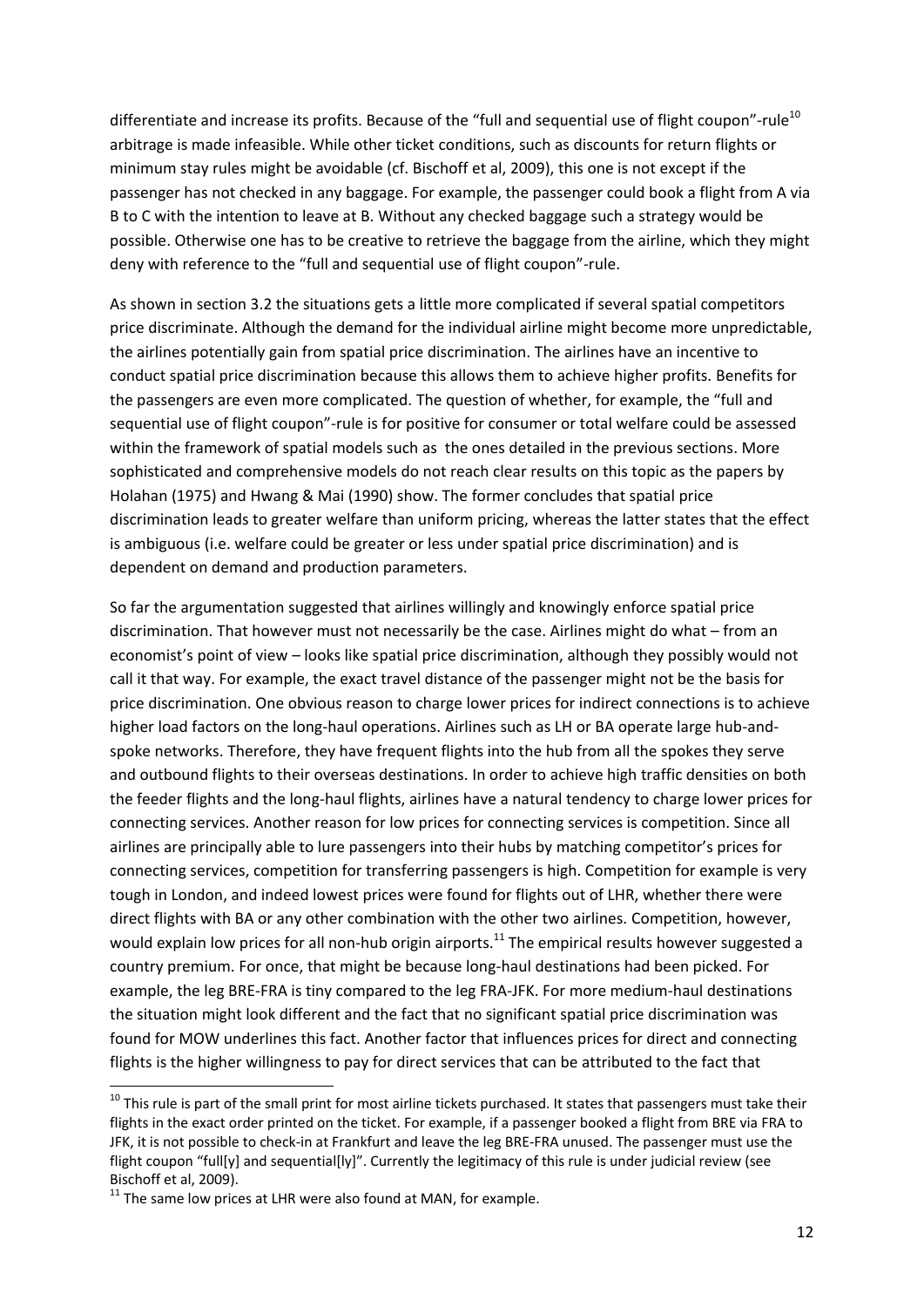differentiate and increase its profits. Because of the "full and sequential use of flight coupon"-rule<sup>10</sup> arbitrage is made infeasible. While other ticket conditions, such as discounts for return flights or minimum stay rules might be avoidable (cf. Bischoff et al, 2009), this one is not except if the passenger has not checked in any baggage. For example, the passenger could book a flight from A via B to C with the intention to leave at B. Without any checked baggage such a strategy would be possible. Otherwise one has to be creative to retrieve the baggage from the airline, which they might deny with reference to the "full and sequential use of flight coupon"-rule.

As shown in section [3.2](#page-5-1) the situations gets a little more complicated if several spatial competitors price discriminate. Although the demand for the individual airline might become more unpredictable, the airlines potentially gain from spatial price discrimination. The airlines have an incentive to conduct spatial price discrimination because this allows them to achieve higher profits. Benefits for the passengers are even more complicated. The question of whether, for example, the "full and sequential use of flight coupon"-rule is for positive for consumer or total welfare could be assessed within the framework of spatial models such as the ones detailed in the previous sections. More sophisticated and comprehensive models do not reach clear results on this topic as the papers by Holahan (1975) and Hwang & Mai (1990) show. The former concludes that spatial price discrimination leads to greater welfare than uniform pricing, whereas the latter states that the effect is ambiguous (i.e. welfare could be greater or less under spatial price discrimination) and is dependent on demand and production parameters.

So far the argumentation suggested that airlines willingly and knowingly enforce spatial price discrimination. That however must not necessarily be the case. Airlines might do what – from an economist's point of view – looks like spatial price discrimination, although they possibly would not call it that way. For example, the exact travel distance of the passenger might not be the basis for price discrimination. One obvious reason to charge lower prices for indirect connections is to achieve higher load factors on the long-haul operations. Airlines such as LH or BA operate large hub-andspoke networks. Therefore, they have frequent flights into the hub from all the spokes they serve and outbound flights to their overseas destinations. In order to achieve high traffic densities on both the feeder flights and the long-haul flights, airlines have a natural tendency to charge lower prices for connecting services. Another reason for low prices for connecting services is competition. Since all airlines are principally able to lure passengers into their hubs by matching competitor's prices for connecting services, competition for transferring passengers is high. Competition for example is very tough in London, and indeed lowest prices were found for flights out of LHR, whether there were direct flights with BA or any other combination with the other two airlines. Competition, however, would explain low prices for all non-hub origin airports.<sup>11</sup> The empirical results however suggested a country premium. For once, that might be because long-haul destinations had been picked. For example, the leg BRE-FRA is tiny compared to the leg FRA-JFK. For more medium-haul destinations the situation might look different and the fact that no significant spatial price discrimination was found for MOW underlines this fact. Another factor that influences prices for direct and connecting flights is the higher willingness to pay for direct services that can be attributed to the fact that

**.** 

 $10$  This rule is part of the small print for most airline tickets purchased. It states that passengers must take their flights in the exact order printed on the ticket. For example, if a passenger booked a flight from BRE via FRA to JFK, it is not possible to check-in at Frankfurt and leave the leg BRE-FRA unused. The passenger must use the flight coupon "full[y] and sequential[ly]". Currently the legitimacy of this rule is under judicial review (see Bischoff et al, 2009).

 $11$  The same low prices at LHR were also found at MAN, for example.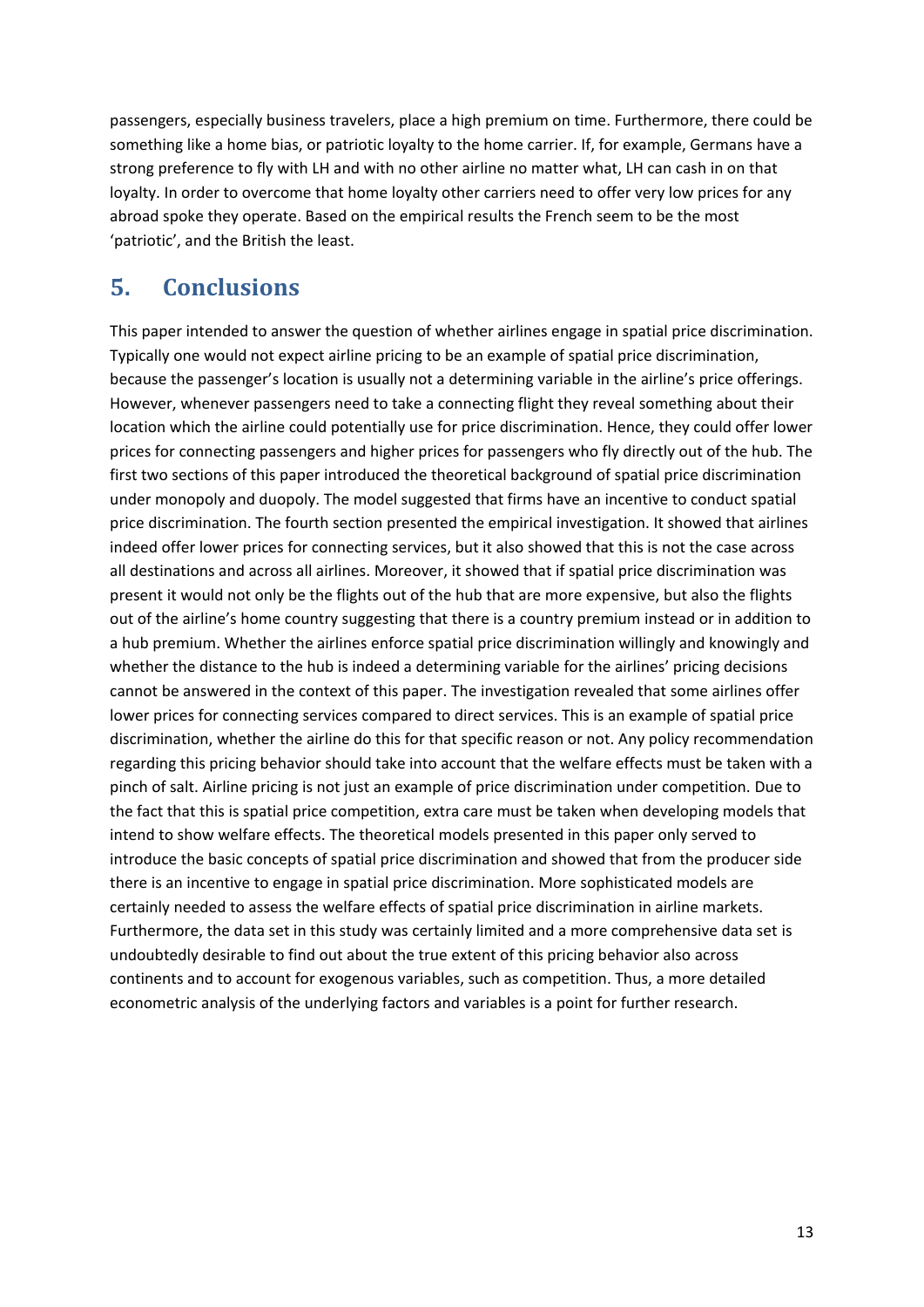passengers, especially business travelers, place a high premium on time. Furthermore, there could be something like a home bias, or patriotic loyalty to the home carrier. If, for example, Germans have a strong preference to fly with LH and with no other airline no matter what, LH can cash in on that loyalty. In order to overcome that home loyalty other carriers need to offer very low prices for any abroad spoke they operate. Based on the empirical results the French seem to be the most 'patriotic', and the British the least.

# **5. Conclusions**

This paper intended to answer the question of whether airlines engage in spatial price discrimination. Typically one would not expect airline pricing to be an example of spatial price discrimination, because the passenger's location is usually not a determining variable in the airline's price offerings. However, whenever passengers need to take a connecting flight they reveal something about their location which the airline could potentially use for price discrimination. Hence, they could offer lower prices for connecting passengers and higher prices for passengers who fly directly out of the hub. The first two sections of this paper introduced the theoretical background of spatial price discrimination under monopoly and duopoly. The model suggested that firms have an incentive to conduct spatial price discrimination. The fourth section presented the empirical investigation. It showed that airlines indeed offer lower prices for connecting services, but it also showed that this is not the case across all destinations and across all airlines. Moreover, it showed that if spatial price discrimination was present it would not only be the flights out of the hub that are more expensive, but also the flights out of the airline's home country suggesting that there is a country premium instead or in addition to a hub premium. Whether the airlines enforce spatial price discrimination willingly and knowingly and whether the distance to the hub is indeed a determining variable for the airlines' pricing decisions cannot be answered in the context of this paper. The investigation revealed that some airlines offer lower prices for connecting services compared to direct services. This is an example of spatial price discrimination, whether the airline do this for that specific reason or not. Any policy recommendation regarding this pricing behavior should take into account that the welfare effects must be taken with a pinch of salt. Airline pricing is not just an example of price discrimination under competition. Due to the fact that this is spatial price competition, extra care must be taken when developing models that intend to show welfare effects. The theoretical models presented in this paper only served to introduce the basic concepts of spatial price discrimination and showed that from the producer side there is an incentive to engage in spatial price discrimination. More sophisticated models are certainly needed to assess the welfare effects of spatial price discrimination in airline markets. Furthermore, the data set in this study was certainly limited and a more comprehensive data set is undoubtedly desirable to find out about the true extent of this pricing behavior also across continents and to account for exogenous variables, such as competition. Thus, a more detailed econometric analysis of the underlying factors and variables is a point for further research.